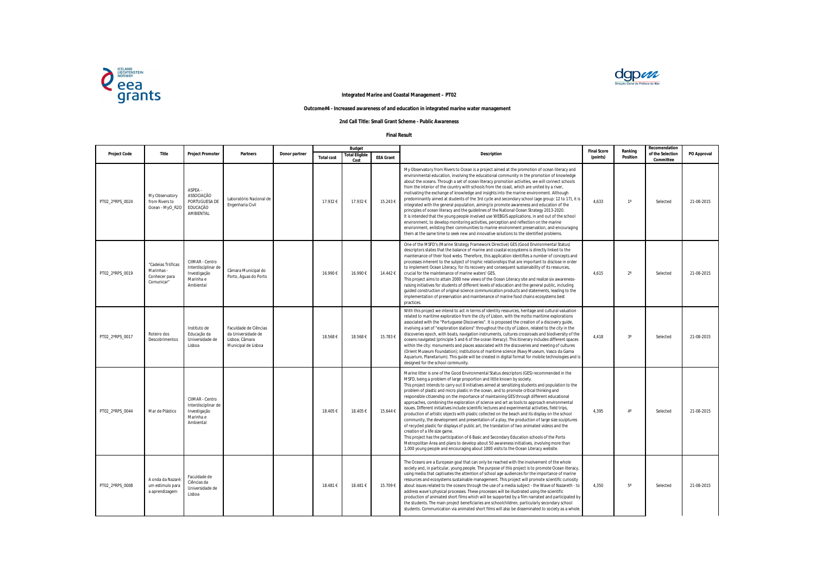|                     |                                                                |                                                                                  |                                                                                      |               |                   | <b>Budget</b>                 |                  |                                                                                                                                                                                                                                                                                                                                                                                                                                                                                                                                                                                                                                                                                                                                                                                                                                                                                                                                                                                                                                                                                                                                                                                                                                                                                                        | <b>Final Score</b> |
|---------------------|----------------------------------------------------------------|----------------------------------------------------------------------------------|--------------------------------------------------------------------------------------|---------------|-------------------|-------------------------------|------------------|--------------------------------------------------------------------------------------------------------------------------------------------------------------------------------------------------------------------------------------------------------------------------------------------------------------------------------------------------------------------------------------------------------------------------------------------------------------------------------------------------------------------------------------------------------------------------------------------------------------------------------------------------------------------------------------------------------------------------------------------------------------------------------------------------------------------------------------------------------------------------------------------------------------------------------------------------------------------------------------------------------------------------------------------------------------------------------------------------------------------------------------------------------------------------------------------------------------------------------------------------------------------------------------------------------|--------------------|
| <b>Project Code</b> | <b>Title</b>                                                   | <b>Project Promoter</b>                                                          | <b>Partners</b>                                                                      | Donor partner | <b>Total cost</b> | <b>Total Eligible</b><br>Cost | <b>EEA Grant</b> | <b>Description</b>                                                                                                                                                                                                                                                                                                                                                                                                                                                                                                                                                                                                                                                                                                                                                                                                                                                                                                                                                                                                                                                                                                                                                                                                                                                                                     | (points)           |
| PT02_2°RPS_0024     | My Observatory<br>from Rivers to<br>Ocean - MyO_R2O            | ASPEA -<br>ASSOCIAÇÃO<br>PORTUGUESA DE<br>EDUCAÇÃO<br>AMBIENTAL                  | Laboratório Nacional de<br>Engenharia Civil                                          |               | 17.932 €          | 17.932€                       | 15.243€          | My Observatory from Rivers to Ocean is a project aimed at the promotion of ocean literacy and<br>environmental education, involving the educational community in the promotion of knowledge<br>about the oceans. Through a set of ocean literacy promotion activities, we will connect schools<br>from the interior of the country with schools from the coast, which are united by a river,<br>motivating the exchange of knowledge and insights into the marine environment. Although<br>predominantly aimed at students of the 3rd cycle and secondary school (age group: 12 to 17), it is<br>integrated with the general population, aiming to promote awareness and education of the<br>principles of ocean literacy and the quidelines of the National Ocean Strategy 2013-2020.<br>It is intended that the young people involved use WEBGIS applications, in and out of the school<br>environment, to develop monitoring activities, perception and reflection on the marine<br>environment, enlisting their communities to marine environment preservation, and encouraging<br>them at the same time to seek new and innovative solutions to the identified problems.                                                                                                                          | 4,633              |
| PT02_2°RPS_0019     | "Cadeias Tróficas<br>Marinhas -<br>Conhecer para<br>Comunicar" | CIIMAR - Centro<br>Interdisciplinar de<br>Investigação<br>Marinha e<br>Ambiental | Câmara Municipal do<br>Porto, Águas do Porto                                         |               | 16.990€           | 16.990€                       | 14.442€          | One of the MSFD's (Marine Strategy Framework Directive) GES (Good Environmental Status)<br>descriptors states that the balance of marine and coastal ecosystems is directly linked to the<br>maintenance of their food webs. Therefore, this application identifies a number of concepts and<br>processes inherent to the subject of trophic relationships that are important to disclose in order<br>to implement Ocean Literacy, for its recovery and consequent sustainability of its resources,<br>crucial for the maintenance of marine waters' GES.<br>This project aims to attain 2000 new views of the Ocean Literacy site and realize six awareness-<br>raising initiatives for students of different levels of education and the general public, including<br>guided construction of original science communication products and statements, leading to the<br>implementation of preservation and maintenance of marine food chains ecosystems best<br>practices.                                                                                                                                                                                                                                                                                                                            | 4,615              |
| PT02_2°RPS_0017     | Roteiro dos<br>Descobrimentos                                  | Instituto de<br>Educação da<br>Universidade de<br>Lisboa                         | Faculdade de Ciências<br>da Universidade de<br>Lisboa; Câmara<br>Municipal de Lisboa |               | 18.568€           | 18.568€                       | 15.783€          | With this project we intend to act in terms of identity resources, heritage and cultural valuation<br>related to maritime exploration from the city of Lisbon, with the motto maritime explorations<br>associated with the "Portuguese Discoveries". It is proposed the creation of a discovery guide,<br>involving a set of "exploration stations" throughout the city of Lisbon, related to the city in the<br>discoveries epoch, with boats, navigation instruments, cultures crossroads and biodiversity of the<br>oceans navigated (principle 5 and 6 of the ocean literacy). This itinerary includes different spaces<br>within the city: monuments and places associated with the discoveries and meeting of cultures<br>(Orient Museum Foundation); institutions of maritime science (Navy Museum, Vasco da Gama<br>Aquarium, Planetarium). This guide will be created in digital format for mobile technologies and is<br>designed for the school community.                                                                                                                                                                                                                                                                                                                                  | 4,418              |
| PT02_2°RPS_0044     | Mar de Plástico                                                | CIIMAR - Centro<br>Interdisciplinar de<br>Investigação<br>Marinha e<br>Ambiental |                                                                                      |               | 18.405€           | 18.405€                       | 15.644 €         | Marine litter is one of the Good Environmental Status descriptors (GES) recommended in the<br>MSFD, being a problem of large proportion and little known by society.<br>This project intends to carry out 8 initiatives aimed at sensitizing students and population to the<br>problem of plastic and micro plastic in the ocean, and to promote critical thinking and<br>responsible citizenship on the importance of maintaining GES through different educational<br>approaches, combining the exploration of science and art as tools to approach environmental<br>issues. Different initiatives include scientific lectures and experimental activities, field trips,<br>production of artistic objects with plastic collected on the beach and its display on the school<br>community, the development and presentation of a play, the production of large size sculptures<br>of recycled plastic for displays of public art, the translation of two animated videos and the<br>creation of a life size game.<br>This project has the participation of 6 Basic and Secondary Education schools of the Porto<br>Metropolitan Area and plans to develop about 50 awareness initiatives, involving more than<br>1,000 young people and encouraging about 1000 visits to the Ocean Literacy website. | 4,395              |
| PT02_2°RPS_0008     | A onda da Nazaré:<br>um estimulo para<br>a aprendizagem        | Faculdade de<br>Ciências da<br>Universidade de<br>Lisboa                         |                                                                                      |               | 18.481€           | 18.481€                       | 15.709€          | The Oceans are a European goal that can only be reached with the involvement of the whole<br>society and, in particular, young people. The purpose of this project is to promote Ocean literacy,<br>using media that captivates the attention of school age audiences for the importance of marine<br>resources and ecosystems sustainable management. This project will promote scientific curiosity<br>about issues related to the oceans through the use of a media subject - the Wave of Nazareth - to<br>address wave's physical processes. These processes will be illustrated using the scientific<br>production of animated short films which will be supported by a film narrated and participated by<br>the students. The main project beneficiaries are schoolchildren, particularly secondary school<br>students. Communication via animated short films will also be disseminated to society as a whole.                                                                                                                                                                                                                                                                                                                                                                                  | 4,350              |



| al Score<br>points) | Ranking<br><b>Position</b> | Recomendation<br>of the Selection<br>Committee | PO Approval |
|---------------------|----------------------------|------------------------------------------------|-------------|
| 4,633               | $1^\circ$                  | Selected                                       | 21-08-2015  |
| 4,615               | $2^{\rm o}$                | Selected                                       | 21-08-2015  |
| 4,418               | $3^{\circ}$                | Selected                                       | 21-08-2015  |
| 4,395               | $4^\circ$                  | Selected                                       | 21-08-2015  |
| 4,350               | $5^\circ$                  | Selected                                       | 21-08-2015  |

## **Outcome#4 - Increased awareness of and education in integrated marine water management**



## **Integrated Marine and Coastal Management – PT02**

## **2nd Call Title: Small Grant Scheme - Public Awareness**

## **Final Result**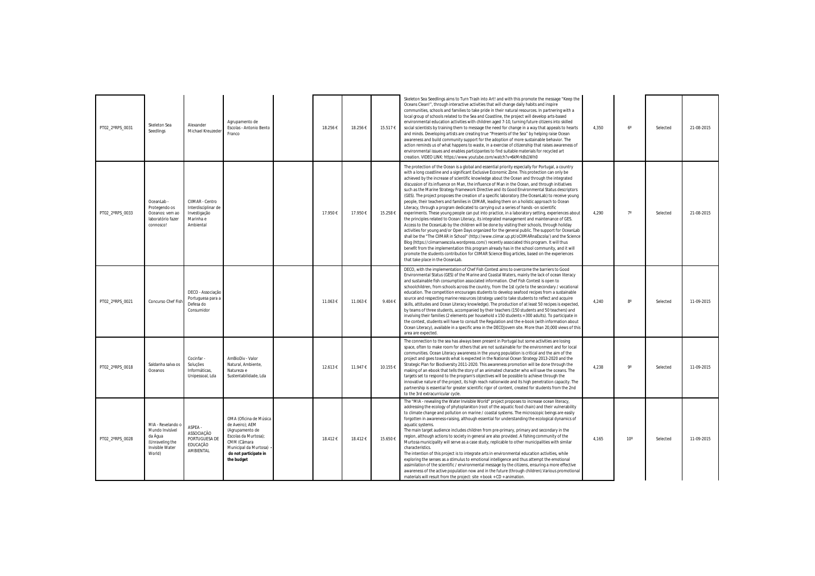| PT02 2°RPS 0031 | Skeleton Sea<br>Seedlings                                                                       | Alexander<br>Michael Kreuzeder                                                   | Agrupamento de<br>Escolas - Antonio Bento<br>Franco                                                                                                                 | 18.256€ | 18.256€ | 15.517€ | Skeleton Sea Seedlings aims to Turn Trash into Art! and with this promote the message "Keep the<br>Oceans Clean!", through interactive activities that will change daily habits and inspire<br>communities, schools and families to take pride in their natural resources. In partnering with a<br>local group of schools related to the Sea and Coastline, the project will develop arts-based<br>environmental education activities with children aged 7-10, turning future citizens into skilled<br>social scientists by training them to message the need for change in a way that appeals to hearts<br>and minds. Developing artists are creating true "Presents of the Sea" by helping raise Ocean<br>awareness and build community support for the adoption of more sustainable behavior. The<br>action reminds us of what happens to waste, in a exercise of citizenship that raises awareness of<br>environmental issues and enables participantes to find suitable materials for recycled art<br>creation. VIDEO LINK: https://www.youtube.com/watch?v=6kMrk8s1Wh0                                                                                                                                                                                                                                                                                                                                                                                                                                                                                                                                                                      | 4,350 | $6^{\circ}$  | Selected | 21-08-2015 |
|-----------------|-------------------------------------------------------------------------------------------------|----------------------------------------------------------------------------------|---------------------------------------------------------------------------------------------------------------------------------------------------------------------|---------|---------|---------|---------------------------------------------------------------------------------------------------------------------------------------------------------------------------------------------------------------------------------------------------------------------------------------------------------------------------------------------------------------------------------------------------------------------------------------------------------------------------------------------------------------------------------------------------------------------------------------------------------------------------------------------------------------------------------------------------------------------------------------------------------------------------------------------------------------------------------------------------------------------------------------------------------------------------------------------------------------------------------------------------------------------------------------------------------------------------------------------------------------------------------------------------------------------------------------------------------------------------------------------------------------------------------------------------------------------------------------------------------------------------------------------------------------------------------------------------------------------------------------------------------------------------------------------------------------------------------------------------------------------------------------------------|-------|--------------|----------|------------|
| PT02 2°RPS 0033 | OceanLab -<br>Protegendo os<br>Oceanos: vem ao<br>laboratório fazer<br>connosco!                | CIIMAR - Centro<br>Interdisciplinar de<br>Investigação<br>Marinha e<br>Ambiental |                                                                                                                                                                     | 17.950€ | 17.950€ | 15.258€ | The protection of the Ocean is a global and essential priority especially for Portugal, a country<br>with a long coastline and a significant Exclusive Economic Zone. This protection can only be<br>achieved by the increase of scientific knowledge about the Ocean and through the integrated<br>discussion of its influence on Man, the influence of Man in the Ocean, and through initiatives<br>such as the Marine Strategy Framework Directive and its Good Environmental Status descriptors<br>(GES). The project proposes the creation of a specific laboratory (the OceanLab) to receive young<br>people, their teachers and families in CIIMAR, leading them on a holistic approach to Ocean<br>Literacy, through a program dedicated to carrying out a series of hands -on scientific<br>experiments. These young people can put into practice, in a laboratory setting, experiences about<br>the principles related to Ocean Literacy, its integrated management and maintenance of GES.<br>Access to the OceanLab by the children will be done by visiting their schools, through holiday<br>activities for young and/or Open Days organized for the general public. The support for OceanLab<br>shall be the "The CIIMAR in School" (http://www.ciimar.up.pt/oCIIMARnaEscola/) and the Science<br>Blog (https://ciimarnaescola.wordpress.com/) recently associated this program. It will thus<br>benefit from the implementation this program already has in the school community, and it will<br>promote the students contribution for CIIMAR Science Blog articles, based on the experiences<br>that take place in the OceanLab. | 4,290 | $7^\circ$    | Selected | 21-08-2015 |
| PT02 2°RPS 0021 | Concurso Chef Fis                                                                               | DECO - Associação<br>Portuguesa para a<br>Defesa do<br>Consumidor                |                                                                                                                                                                     | 11.063€ | 11.063€ | 9.404€  | DECO, with the implementation of Chef Fish Contest aims to overcome the barriers to Good<br>Environmental Status (GES) of the Marine and Coastal Waters, mainly the lack of ocean literacy<br>and sustainable fish consumption associated information. Chef Fish Contest is open to<br>schoolchildren, from schools across the country, from the 1st cycle to the secondary / vocational<br>education. The competition encourages students to develop seafood recipes from a sustainable<br>source and respecting marine resources (strategy used to take students to reflect and acquire<br>skills, attitudes and Ocean Literacy knowledge). The production of at least 50 recipes is expected,<br>by teams of three students, accompanied by their teachers (150 students and 50 teachers) and<br>involving their families (2 elements per household x 150 students = 300 adults). To participate in<br>the contest, students will have to consult the Regulation and the e-book (with information about<br>Ocean Literacy), available in a specific area in the DECOJovem site. More than 20,000 views of this<br>area are expected.                                                                                                                                                                                                                                                                                                                                                                                                                                                                                                           | 4,240 | $8^{\circ}$  | Selected | 11-09-2015 |
| PT02_2°RPS_0018 | Saldanha salva os<br>Oceanos                                                                    | Cocinfar -<br>Soluções<br>Informáticas,<br>Unipessoal, Lda                       | AmBioDiv - Valor<br>Natural, Ambiente.<br>Natureza e<br>Sustentabilidade, Lda                                                                                       | 12.613€ | 11.947€ | 10.155€ | The connection to the sea has always been present in Portugal but some activities are losing<br>space, often to make room for others that are not sustainable for the environment and for local<br>communities. Ocean Literacy awareness in the young population is critical and the aim of the<br>project and goes towards what is expected in the National Ocean Strategy 2013-2020 and the<br>Strategic Plan for Biodiversity 2011-2020. This awareness promotion will be done through the<br>making of an ebook that tells the story of an animated character who will save the oceans. The<br>targets set to respond to the program's objectives will be possible to achieve through the<br>innovative nature of the project, its high reach nationwide and its high penetration capacity. The<br>partnership is essential for greater scientific rigor of content, created for students from the 2nd<br>to the 3rd extracurricular cycle.                                                                                                                                                                                                                                                                                                                                                                                                                                                                                                                                                                                                                                                                                                   | 4,238 | <b>go</b>    | Selected | 11-09-2015 |
| PT02 2°RPS 0028 | MIA - Revelando c<br>Mundo Invisível<br>da Água<br>(Unraveling the<br>Invisible Water<br>World) | ASPEA -<br>ASSOCIAÇÃO<br>PORTUGUESA DE<br>EDUCAÇÃO<br>AMBIENTAL                  | OMA (Oficina de Música<br>de Aveiro); AEM<br>(Agrupamento de<br>Escolas da Murtosa);<br>CMM (Câmara<br>Municipal da Murtosa)<br>do not participate in<br>the budget | 18.412€ | 18.412€ | 15.650€ | The "MIA - revealing the Water Invisible World" project proposes to increase ocean literacy,<br>addressing the ecology of phytoplankton (root of the aquatic food chain) and their vulnerability<br>to climate change and pollution on marine / coastal systems. The microscopic beings are easily<br>forgotten in awareness-raising, although essential for understanding the ecological dynamics of<br>aquatic systems.<br>The main target audience includes children from pre-primary, primary and secondary in the<br>region, although actions to society in general are also provided. A fishing community of the<br>Murtosa municipality will serve as a case study, replicable to other municipalities with similar<br>characteristics.<br>The intention of this project is to integrate arts in environmental education activities, while<br>exploring the senses as a stimulus to emotional intelligence and thus attempt the emotional<br>assimilation of the scientific / environmental message by the citizens, ensuring a more effective<br>awareness of the active population now and in the future (through children). Various promotional<br>materials will result from the project: site + book + $CD$ + animation.                                                                                                                                                                                                                                                                                                                                                                                                              | 4,165 | $10^{\circ}$ | Selected | 11-09-2015 |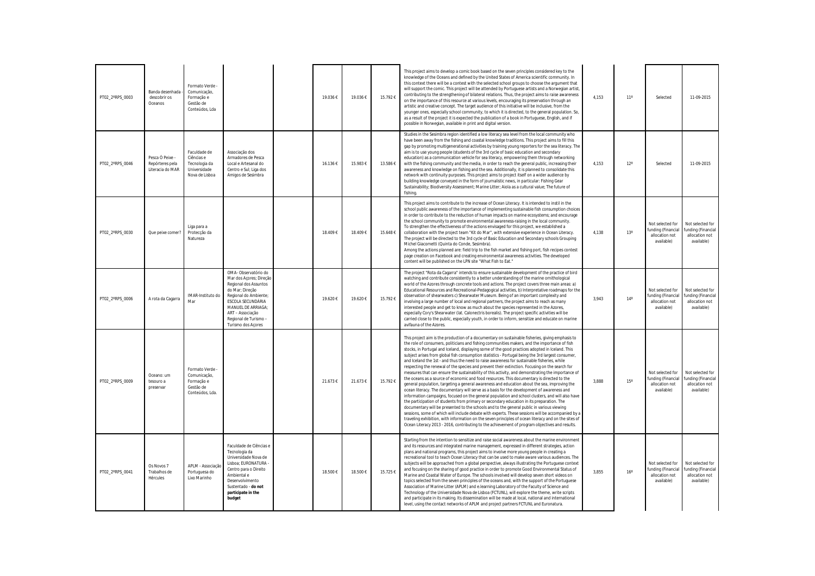| PT02_2°RPS_0003 | Banda desenhada<br>descobrir os<br>Oceanos             | Formato Verde -<br>Comunicação,<br>Formação e<br>Gestão de<br>Conteúdos, Lda  |                                                                                                                                                                                                                                   | 19.036€ | 19.036€ | 15.792€ | This project aims to develop a comic book based on the seven principles considered key to the<br>knowledge of the Oceans and defined by the United States of America scientific community. In<br>this context there will be a contest with the selected school groups to choose the argument that<br>will support the comic. This project will be attended by Portuguese artists and a Norwegian artist,<br>contributing to the strengthening of bilateral relations. Thus, the project aims to raise awareness<br>on the importance of this resource at various levels, encouraging its preservation through an<br>artistic and creative concept. The target audience of this initiative will be inclusive, from the<br>younger ones, especially school community, to which it is directed, to the general population. So,<br>as a result of the project it is expected the publication of a book in Portuguese, English, and if<br>possible in Norwegian, available in print and digital version.                                                                                                                                                                                                                                                                                                                                                                                                                                                                                                                                                                                                                      | 4,153 | 11 <sup>°</sup> |
|-----------------|--------------------------------------------------------|-------------------------------------------------------------------------------|-----------------------------------------------------------------------------------------------------------------------------------------------------------------------------------------------------------------------------------|---------|---------|---------|--------------------------------------------------------------------------------------------------------------------------------------------------------------------------------------------------------------------------------------------------------------------------------------------------------------------------------------------------------------------------------------------------------------------------------------------------------------------------------------------------------------------------------------------------------------------------------------------------------------------------------------------------------------------------------------------------------------------------------------------------------------------------------------------------------------------------------------------------------------------------------------------------------------------------------------------------------------------------------------------------------------------------------------------------------------------------------------------------------------------------------------------------------------------------------------------------------------------------------------------------------------------------------------------------------------------------------------------------------------------------------------------------------------------------------------------------------------------------------------------------------------------------------------------------------------------------------------------------------------------------|-------|-----------------|
| PT02_2°RPS_0046 | Pesca Ó Peixe -<br>Repórteres pela<br>Literacia do MAR | Faculdade de<br>Ciências e<br>Tecnologia da<br>Universidade<br>Nova de Lisboa | Associação dos<br>Armadores de Pesca<br>Local e Artesanal do<br>Centro e Sul; Liga dos<br>Amigos de Sesimbra                                                                                                                      | 16.136€ | 15.983€ | 13.586€ | Studies in the Sesimbra region identified a low literacy sea level from the local community who<br>have been away from the fishing and coastal knowledge traditions. This project aims to fill this<br>gap by promoting multigenerational activities by training young reporters for the sea literacy. The<br>aim is to use young people (students of the 3rd cycle of basic education and secondary<br>education) as a communication vehicle for sea literacy, empowering them through networking<br>with the fishing community and the media, in order to reach the general public, increasing their<br>awareness and knowledge on fishing and the sea. Additionally, it is planned to consolidate this<br>network with continuity purposes. This project aims to project itself on a wider audience by<br>building knowledge conveyed in the form of journalistic news, in particular: Fishing Gear<br>Sustainability; Biodiversity Assessment; Marine Litter; Aiola as a cultural value; The future of<br>fishing.                                                                                                                                                                                                                                                                                                                                                                                                                                                                                                                                                                                                   | 4,153 | 12 <sup>°</sup> |
| PT02_2°RPS_0030 | Que peixe comer?                                       | Liga para a<br>Protecção da<br>Natureza                                       |                                                                                                                                                                                                                                   | 18.409€ | 18.409€ | 15.648€ | This project aims to contribute to the increase of Ocean Literacy. It is intended to instil in the<br>school public awareness of the importance of implementing sustainable fish consumption choices<br>in order to contribute to the reduction of human impacts on marine ecosystems; and encourage<br>the school community to promote environmental awareness-raising in the local community.<br>To strengthen the effectiveness of the actions envisaged for this project, we established a<br>collaboration with the project team "Kit do Mar", with extensive experience in Ocean Literacy.<br>The project will be directed to the 3rd cycle of Basic Education and Secondary schools Grouping<br>Michel Giacometti (Quinta do Conde, Sesimbra).<br>Among the actions planned are: field trip to the fish market and fishing port, fish recipes contest<br>page creation on Facebook and creating environmental awareness activities. The developed<br>content will be published on the LPN site "What Fish to Eat."                                                                                                                                                                                                                                                                                                                                                                                                                                                                                                                                                                                                | 4,138 | 13 <sup>°</sup> |
| PT02_2°RPS_0006 | A rota da Cagarra                                      | IMAR-Instituto do<br>Mar                                                      | OMA-Observatório do<br>Mar dos Açores; Direção<br>Regional dos Assuntos<br>do Mar; Direção<br>Regional do Ambiente;<br>ESCOLA SECUNDÁRIA<br>MANUEL DE ARRIAGA;<br>ART - Associação<br>Regional de Turismo -<br>Turismo dos Açores | 19.620€ | 19.620€ | 15.792€ | The project "Rota da Cagarra" intends to ensure sustainable development of the practice of bird<br>watching and contribute consistently to a better understanding of the marine ornithological<br>world of the Azores through concrete tools and actions. The project covers three main areas: a)<br>Educational Resources and Recreational-Pedagogical activities, b) Interpretative roadmaps for the<br>observation of shearwaters c) Shearwater Museum. Being of an important complexity and<br>involving a large number of local and regional partners, the project aims to reach as many<br>interested people and get to know as much about the species represented in the Azores,<br>especially Cory's Shearwater (lat. Calonectris borealis). The project specific activities will be<br>carried close to the public, especially youth, in order to inform, sensitize and educate on marine<br>avifauna of the Azores.                                                                                                                                                                                                                                                                                                                                                                                                                                                                                                                                                                                                                                                                                            | 3,943 | $14^{\circ}$    |
| PT02 2°RPS 0009 | Oceano: um<br>tesouro a<br>preservar                   | Formato Verde<br>Comunicação,<br>Formação e<br>Gestão de<br>Conteúdos, Lda.   |                                                                                                                                                                                                                                   | 21.673€ | 21.673€ | 15.792€ | This project aim is the production of a documentary on sustainable fisheries, giving emphasis to<br>the role of consumers, politicians and fishing communities makers, and the importance of fish<br>stocks, in Portugal and Iceland, displaying some of the good practices adopted in Iceland. This<br>subject arises from global fish consumption statistics - Portugal being the 3rd largest consumer,<br>and Iceland the 1st - and thus the need to raise awareness for sustainable fisheries, while<br>respecting the renewal of the species and prevent their extinction. Focusing on the search for<br>measures that can ensure the sustainability of this activity, and demonstrating the importance of<br>the oceans as a source of economic and food resources. This documentary is directed to the<br>general population, targeting a general awareness and education about the sea, improving the<br>ocean literacy. The documentary will serve as a basis for the development of awareness and<br>information campaigns, focused on the general population and school clusters, and will also have<br>the participation of students from primary or secondary education in its preparation. The<br>documentary will be presented to the schools and to the general public in various viewing<br>sessions, some of which will include debate with experts. These sessions will be accompanied by a<br>traveling exhibition, with information on the seven principles of ocean literacy and on the sites of<br>Ocean Literacy 2013 - 2016, contributing to the achievement of program objectives and results. | 3,888 | 15 <sup>°</sup> |
| PT02_2°RPS_0041 | Os Novos 7<br>Trabalhos de<br>Hércules                 | APLM - Associação<br>Portuguesa do<br>Lixo Marinho                            | Faculdade de Ciências e<br>Tecnologia da<br>Universidade Nova de<br>Lisboa; EURONATURA -<br>Centro para o Direito<br>Ambiental e<br>Desenvolvimento<br>Sustentado - do not<br>participate in the<br>budget                        | 18.500€ | 18.500€ | 15.725€ | Starting from the intention to sensitize and raise social awareness about the marine environment<br>and its resources and integrated marine management, expressed in different strategies, action<br>plans and national programs, this project aims to involve more young people in creating a<br>recreational tool to teach Ocean Literacy that can be used to make aware various audiences. The<br>subjects will be approached from a global perspective, always illustrating the Portuguese context<br>and focusing on the sharing of good practice in order to promote Good Environmental Status of<br>Marine and Coastal Water of Europe. The schools involved will develop seven short videos on<br>topics selected from the seven principles of the oceans and, with the support of the Portuguese<br>Association of Marine Litter (APLM) and e.learning Laboratory of the Faculty of Science and<br>Technology of the Universidade Nova de Lisboa (FCTUNL), will explore the theme, write scripts<br>and participate in its making. Its dissemination will be made at local, national and international<br>level, using the contact networks of APLM and project partners FCTUNL and Euronatura.                                                                                                                                                                                                                                                                                                                                                                                                                 | 3,855 | 16 <sup>°</sup> |

| 4,153 | $11^{\circ}$ | Selected                                                               | 11-09-2015                                                             |
|-------|--------------|------------------------------------------------------------------------|------------------------------------------------------------------------|
| 4,153 | $12^{\circ}$ | Selected                                                               | 11-09-2015                                                             |
| 4,138 | 13°          | Not selected for<br>funding (Financial<br>allocation not<br>available) | Not selected for<br>funding (Financial<br>allocation not<br>available) |
| 3,943 | $14^{\circ}$ | Not selected for<br>funding (Financial<br>allocation not<br>available) | Not selected for<br>funding (Financial<br>allocation not<br>available) |
| 3,888 | 15°          | Not selected for<br>funding (Financial<br>allocation not<br>available) | Not selected for<br>funding (Financial<br>allocation not<br>available) |
| 3,855 | $16^{\circ}$ | Not selected for<br>funding (Financial<br>allocation not<br>available) | Not selected for<br>funding (Financial<br>allocation not<br>available) |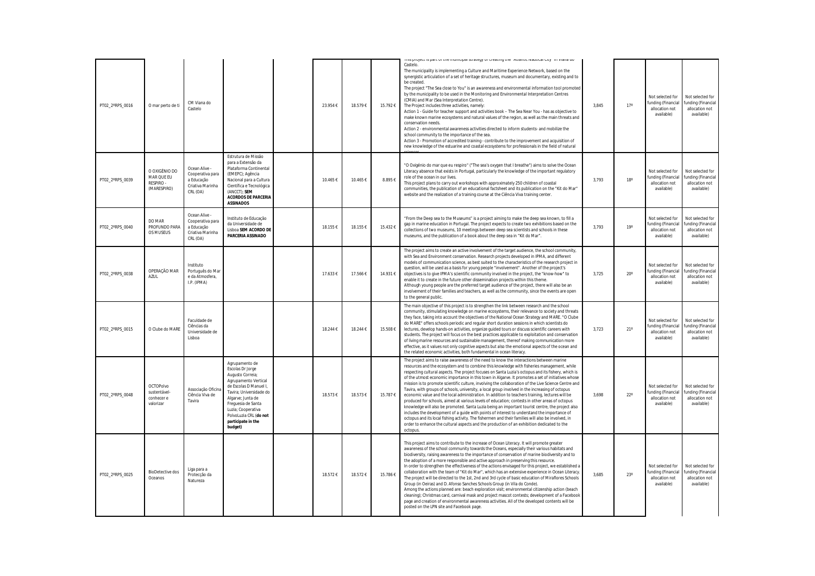| PT02 2°RPS 0016 | O mar perto de ti                                           | CM Viana do<br>Castelo                                                          |                                                                                                                                                                                                                                                                 | 23.954€  | 18.579€  | 15.792€  | rms project is part or the municipal strategy or creating the "Attantic Ivautical City" in viaria uo<br>Castelo.<br>The municipality is implementing a Culture and Maritime Experience Network, based on the<br>synergistic articulation of a set of heritage structures, museum and documentary, existing and to<br>be created.<br>The project "The Sea close to You" is an awareness and environmental information tool promoted<br>by the municipality to be used in the Monitoring and Environmental Interpretation Centres<br>(CMIA) and Mar (Sea Interpretation Centre).<br>The Project includes three activities, namely:<br>Action 1 - Guide for teacher support and activities book - The Sea Near You - has as objective to<br>make known marine ecosystems and natural values of the region, as well as the main threats and<br>conservation needs.<br>Action 2 - environmental awareness activities directed to inform students- and mobilize the<br>school community to the importance of the sea.<br>Action 3 - Promotion of accredited training - contribute to the improvement and acquisition of<br>new knowledge of the estuarine and coastal ecosystems for professionals in the field of natural                 | 3,845 | 17 <sup>°</sup> |
|-----------------|-------------------------------------------------------------|---------------------------------------------------------------------------------|-----------------------------------------------------------------------------------------------------------------------------------------------------------------------------------------------------------------------------------------------------------------|----------|----------|----------|--------------------------------------------------------------------------------------------------------------------------------------------------------------------------------------------------------------------------------------------------------------------------------------------------------------------------------------------------------------------------------------------------------------------------------------------------------------------------------------------------------------------------------------------------------------------------------------------------------------------------------------------------------------------------------------------------------------------------------------------------------------------------------------------------------------------------------------------------------------------------------------------------------------------------------------------------------------------------------------------------------------------------------------------------------------------------------------------------------------------------------------------------------------------------------------------------------------------------------------|-------|-----------------|
| PT02_2°RPS_0039 | O OXIGÉNIO DO<br>MAR QUE EU<br>RESPIRO -<br>(MARESPIRO)     | Ocean Alive -<br>Cooperativa para<br>a Educação<br>Criativa Marinha<br>CRL (OA) | Estrutura de Missão<br>para a Extensão da<br>Plataforma Continental<br>(EMEPC); Agência<br>Nacional para a Cultura<br>Científica e Tecnológica<br>(ANCCT); SEM<br><b>ACORDOS DE PARCERIA</b><br><b>ASSINADOS</b>                                                | 10.465€  | 10.465€  | 8.895€   | "O Oxigénio do mar que eu respiro" ("The sea's oxygen that I breathe") aims to solve the Ocean<br>Literacy absence that exists in Portugal, particularly the knowledge of the important regulatory<br>role of the ocean in our lives.<br>This project plans to carry out workshops with approximately 250 children of coastal<br>communities, the publication of an educational factsheet and its publication on the "Kit do Mar"<br>website and the realization of a training course at the Ciência Viva training center.                                                                                                                                                                                                                                                                                                                                                                                                                                                                                                                                                                                                                                                                                                           | 3,793 | 18 <sup>°</sup> |
| PT02_2°RPS_0040 | DO MAR<br>PROFUNDO PARA<br>OS MUSEUS                        | Ocean Alive -<br>Cooperativa para<br>a Educação<br>Criativa Marinha<br>CRL (OA) | Instituto de Educação<br>da Universidade de<br>Lisboa SEM ACORDO DE<br><b>PARCERIA ASSINADO</b>                                                                                                                                                                 | 18.155€  | 18.155€  | 15.432€  | "From the Deep sea to the Museums" is a project aiming to make the deep sea known, to fill a<br>gap in marine education in Portugal. The project expects to create two exhibitions based on the<br>collections of two museums, 10 meetings between deep sea scientists and schools in these<br>museums, and the publication of a book about the deep sea in "Kit do Mar".                                                                                                                                                                                                                                                                                                                                                                                                                                                                                                                                                                                                                                                                                                                                                                                                                                                            | 3,793 | 19°             |
| PT02 2°RPS 0038 | OPERAÇÃO MAR<br><b>AZUL</b>                                 | Instituto<br>Português do Mar<br>e da Atmosfera,<br>I.P. (IPMA)                 |                                                                                                                                                                                                                                                                 | 17.633 € | 17.566€  | 14.931 € | The project aims to create an active involvement of the target audience, the school community,<br>with Sea and Environment conservation. Research projects developed in IPMA, and different<br>models of communication science, as best suited to the characteristics of the research project in<br>question, will be used as a basis for young people "involvement". Another of the project's<br>objectives is to give IPMA's scientific community involved in the project, the "know-how" to<br>enable it to create in the future other dissemination projects within this theme.<br>Although young people are the preferred target audience of the project, there will also be an<br>involvement of their families and teachers, as well as the community, since the events are open<br>to the general public.                                                                                                                                                                                                                                                                                                                                                                                                                    | 3,725 | $20^{\circ}$    |
| PT02 2°RPS 0015 | O Clube do MARE                                             | Faculdade de<br>Ciências da<br>Universidade de<br>Lisboa                        |                                                                                                                                                                                                                                                                 | 18.244 € | 18.244 € | 15.508€  | The main objective of this project is to strengthen the link between research and the school<br>community, stimulating knowledge on marine ecosystems, their relevance to society and threats<br>they face, taking into account the objectives of the National Ocean Strategy and MARE. "O Clube<br>do MARE" offers schools periodic and regular short duration sessions in which scientists do<br>lectures, develop hands-on activities, organize guided tours or discuss scientific careers with<br>students. The project will focus on the best practices applicable to exploitation and conservation<br>of living marine resources and sustainable management, thereof making communication more<br>effective, as it values not only cognitive aspects but also the emotional aspects of the ocean and<br>the related economic activities, both fundamental in ocean literacy.                                                                                                                                                                                                                                                                                                                                                   | 3,723 | 21 <sup>°</sup> |
| PT02_2°RPS_0048 | <b>OCTOPolvo</b><br>sustentável-<br>conhecer e<br>valorizar | Associação Oficina<br>Ciência Viva de<br>Tavira                                 | Agrupamento de<br>Escolas Dr Jorge<br>Augusto Correia;<br>Agrupamento Vertical<br>de Escolas D Manuel I.<br>Tavira; Universidade do<br>Algarve; Junta de<br>Frequesia de Santa<br>Luzia: Cooperativa<br>PolvoLuzia CRL (do not<br>participate in the<br>budget) | 18.573€  | 18.573€  | 15.787€  | The project aims to raise awareness of the need to know the interactions between marine<br>resources and the ecosystem and to combine this knowledge with fisheries management, while<br>respecting cultural aspects. The project focuses on Santa Luzia's octopus and its fishery, which is<br>of the utmost economic importance in this town in Algarve. It promotes a set of initiatives whose<br>mission is to promote scientific culture, involving the collaboration of the Live Science Centre and<br>Tavira, with groups of schools, university, a local group involved in the increasing of octopus<br>economic value and the local administration. In addition to teachers training, lectures will be<br>produced for schools, aimed at various levels of education; contests in other areas of octopus<br>knowledge will also be promoted. Santa Luzia being an important tourist centre, the project also<br>includes the development of a guide with points of interest to understand the importance of<br>octopus and its local fishing activity. The fishermen and their families will also be involved, in<br>order to enhance the cultural aspects and the production of an exhibition dedicated to the<br>octopus. | 3,698 | $22^{\circ}$    |
| PT02_2°RPS_0025 | <b>BioDetective dos</b><br>Oceanos                          | Liga para a<br>Protecção da<br>Natureza                                         |                                                                                                                                                                                                                                                                 | 18.572€  | 18.572€  | 15.786€  | This project aims to contribute to the increase of Ocean Literacy. It will promote greater<br>awareness of the school community towards the Oceans, especially their various habitats and<br>biodiversity, raising awareness to the importance of conservation of marine biodiversity and to<br>the adoption of a more responsible and active approach in preserving this resource.<br>In order to strengthen the effectiveness of the actions envisaged for this project, we established a<br>collaboration with the team of "Kit do Mar", which has an extensive experience in Ocean Literacy.<br>The project will be directed to the 1st, 2nd and 3rd cycle of basic education of Miraflores Schools<br>Group (in Oeiras) and D. Afonso Sanches Schools Group (in Vila do Conde).<br>Among the actions planned are: beach exploration visit; environmental citizenship action (beach<br>cleaning); Christmas card, carnival mask and project mascot contests; development of a Facebook<br>page and creation of environmental awareness activities. All of the developed contents will be<br>posted on the LPN site and Facebook page.                                                                                            | 3,685 | $23^\circ$      |

| 17°          | Not selected for<br>funding (Financial<br>allocation not<br>available) | Not selected for<br>funding (Financial<br>allocation not<br>available) |
|--------------|------------------------------------------------------------------------|------------------------------------------------------------------------|
| $18^{\circ}$ | Not selected for<br>funding (Financial<br>allocation not<br>available) | Not selected for<br>funding (Financial<br>allocation not<br>available) |
| 19°          | Not selected for<br>funding (Financial<br>allocation not<br>available) | Not selected for<br>funding (Financial<br>allocation not<br>available) |
| $20^{\circ}$ | Not selected for<br>funding (Financial<br>allocation not<br>available) | Not selected for<br>funding (Financial<br>allocation not<br>available) |
| $21^{\circ}$ | Not selected for<br>funding (Financial<br>allocation not<br>available) | Not selected for<br>funding (Financial<br>allocation not<br>available) |
| $22^{\circ}$ | Not selected for<br>funding (Financial<br>allocation not<br>available) | Not selected for<br>funding (Financial<br>allocation not<br>available) |
| $23^{\circ}$ | Not selected for<br>funding (Financial<br>allocation not<br>available) | Not selected for<br>funding (Financial<br>allocation not<br>available) |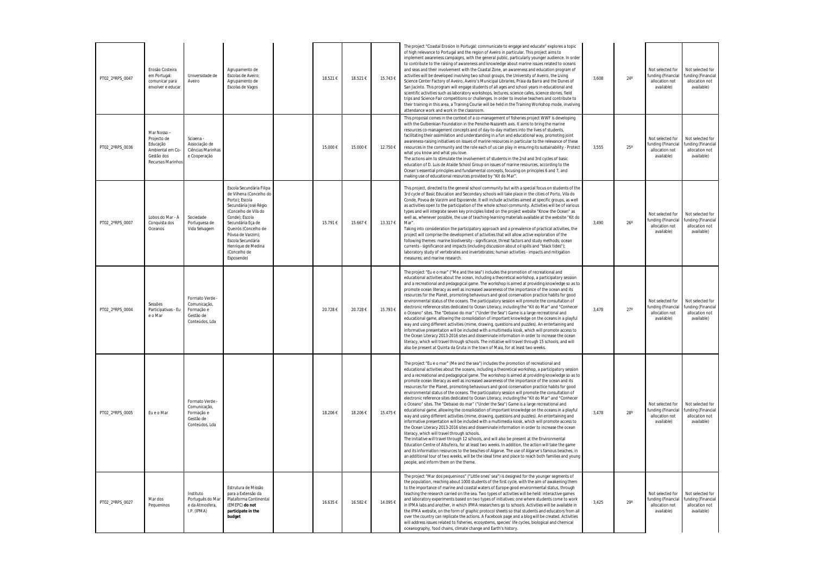| PT02_2°RPS_0047 | Erosão Costeira<br>em Portugal:<br>comunicar para<br>envolver e educar                      | Universidade de<br>Aveiro                                                    | Agrupamento de<br>Escolas de Aveiro;<br>Agrupamento de<br>Escolas de Vagos                                                                                                                                                                                                          | 18.521€ | 18.521€ | 15.743€  | The project "Coastal Erosion in Portugal: communicate to engage and educate" explores a topic<br>of high relevance to Portugal and the region of Aveiro in particular. This project aims to<br>implement awareness campaigns, with the general public, particularly younger audience. In order<br>to contribute to the raising of awareness and knowledge about marine issues related to oceans<br>and seas and their involvement with the Coastal Zone, an awareness and education program of<br>activities will be developed involving two school groups, the University of Aveiro, the Living<br>Science Center Factory of Aveiro, Aveiro's Municipal Libraries, Praia da Barra and the Dunes of<br>San Jacinto. This program will engage students of all ages and school years in educational and<br>scientific activities such as laboratory workshops, lectures, science cafes, science stories, field<br>trips and Science Fair competitions or challenges. In order to involve teachers and contribute to<br>their training in this area, a Training Course will be held in the Training Workshop mode, involving<br>attendance work and work in the classroom.                                                                                                                                                                                                                                                                                                                                                                                                                                                                                                                                          | 3,608 | $24^\circ$ |
|-----------------|---------------------------------------------------------------------------------------------|------------------------------------------------------------------------------|-------------------------------------------------------------------------------------------------------------------------------------------------------------------------------------------------------------------------------------------------------------------------------------|---------|---------|----------|------------------------------------------------------------------------------------------------------------------------------------------------------------------------------------------------------------------------------------------------------------------------------------------------------------------------------------------------------------------------------------------------------------------------------------------------------------------------------------------------------------------------------------------------------------------------------------------------------------------------------------------------------------------------------------------------------------------------------------------------------------------------------------------------------------------------------------------------------------------------------------------------------------------------------------------------------------------------------------------------------------------------------------------------------------------------------------------------------------------------------------------------------------------------------------------------------------------------------------------------------------------------------------------------------------------------------------------------------------------------------------------------------------------------------------------------------------------------------------------------------------------------------------------------------------------------------------------------------------------------------------------------------------------------------------------------------------------|-------|------------|
| PT02_2°RPS_0036 | Mar Nosso-<br>Projecto de<br>Educação<br>Ambiental em Co<br>Gestão dos<br>Recursos Marinhos | Sciaena -<br>Associação de<br>Ciências Marinhas<br>e Cooperação              |                                                                                                                                                                                                                                                                                     | 15.000€ | 15.000€ | 12.750€  | This proposal comes in the context of a co-management of fisheries project WWF is developing<br>with the Gulbenkian Foundation in the Peniche-Nazareth axis. It aims to bring the marine<br>resources co-management concepts and of day-to-day matters into the lives of students,<br>facilitating their assimilation and understanding in a fun and educational way, promoting joint<br>awareness-raising initiatives on issues of marine resources in particular to the relevance of these<br>resources in the community and the role each of us can play in ensuring its sustainability - Protect<br>what you know and what you love.<br>The actions aim to stimulate the involvement of students in the 2nd and 3rd cycles of basic<br>education of D. Luis de Ataide School Group on issues of marine resources, according to the<br>Ocean's essential principles and fundamental concepts, focusing on principles 6 and 7, and<br>making use of educational resources provided by "Kit do Mar".                                                                                                                                                                                                                                                                                                                                                                                                                                                                                                                                                                                                                                                                                                            | 3,555 | $25^\circ$ |
| PT02_2°RPS_0007 | Lobos do Mar - À<br>Conquista dos<br>Oceanos                                                | Sociedade<br>Portuguesa de<br>Vida Selvagem                                  | Escola Secundária Filipa<br>de Vilhena (Concelho do<br>Porto); Escola<br>Secundária José Régio<br>(Concelho de Vila do<br>Conde); Escola<br>Secundária Eça de<br>Queirós (Concelho de<br>Póvoa de Varzim);<br>Escola Secundária<br>Henrique de Medina<br>(Concelho de<br>Esposende) | 15.791€ | 15.667€ | 13.317 € | This project, directed to the general school community but with a special focus on students of the<br>3rd cycle of Basic Education and Secondary schools will take place in the cities of Porto, Vila do<br>Conde, Povoa de Varzim and Esposende. It will include activities aimed at specific groups, as well<br>as activities open to the participation of the whole school community. Activities will be of various<br>types and will integrate seven key principles listed on the project website "Know the Ocean" as<br>well as, whenever possible, the use of teaching-learning materials available at the website "Kit do<br>Mar".<br>Taking into consideration the participatory approach and a prevalence of practical activities, the<br>project will comprise the development of activities that will allow active exploration of the<br>following themes: marine biodiversity - significance, threat factors and study methods; ocean<br>currents - significance and impacts (including discussion about oil spills and "black tides");<br>laboratory study of vertebrates and invertebrates; human activities - impacts and mitigation<br>measures: and marine research.                                                                                                                                                                                                                                                                                                                                                                                                                                                                                                                            | 3,490 | $26^\circ$ |
| PT02_2°RPS_0004 | Sessões<br>Participativas - Eu<br>e o Mar                                                   | Formato Verde -<br>Comunicação,<br>Formação e<br>Gestão de<br>Conteúdos, Lda |                                                                                                                                                                                                                                                                                     | 20.728€ | 20.728€ | 15.793€  | The project "Eu e o mar" ("Me and the sea") includes the promotion of recreational and<br>educational activities about the ocean, including a theoretical workshop, a participatory session<br>and a recreational and pedagogical game. The workshop is aimed at providing knowledge so as to<br>promote ocean literacy as well as increased awareness of the importance of the ocean and its<br>resources for the Planet, promoting behaviours and good conservation practice habits for good<br>environmental status of the oceans. The participatory session will promote the consultation of<br>electronic reference sites dedicated to Ocean Literacy, including the "Kit do Mar" and "Conhecer<br>o Oceano" sites. The "Debaixo do mar" ("Under the Sea") Game is a large recreational and<br>educational game, allowing the consolidation of important knowledge on the oceans in a playful<br>way and using different activities (mime, drawing, questions and puzzles). An entertaining and<br>informative presentation will be included with a multimedia kiosk, which will promote access to<br>the Ocean Literacy 2013-2016 sites and disseminate information in order to increase the ocean<br>literacy, which will travel through schools. The initiative will travel through 15 schools, and will<br>also be present at Quinta da Gruta in the town of Maia, for at least two weeks.                                                                                                                                                                                                                                                                                                              | 3,478 | $27^\circ$ |
| PT02_2°RPS_0005 | Eu e o Mar                                                                                  | Formato Verde -<br>Comunicação,<br>Formação e<br>Gestão de<br>Conteúdos, Lda |                                                                                                                                                                                                                                                                                     | 18.206€ | 18.206€ | 15.475€  | The project "Eu e o mar" (Me and the sea") includes the promotion of recreational and<br>educational activities about the oceans, including a theoretical workshop, a participatory session<br>and a recreational and pedagogical game. The workshop is aimed at providing knowledge so as to<br>promote ocean literacy as well as increased awareness of the importance of the ocean and its<br>resources for the Planet, promoting behaviours and good conservation practice habits for good<br>environmental status of the oceans. The participatory session will promote the consultation of<br>electronic reference sites dedicated to Ocean Literacy, including the "Kit do Mar" and "Conhecer<br>o Oceano" sites. The "Debaixo do mar" ("Under the Sea") Game is a large recreational and<br>educational game, allowing the consolidation of important knowledge on the oceans in a playful<br>way and using different activities (mime, drawing, questions and puzzles). An entertaining and<br>informative presentation will be included with a multimedia kiosk, which will promote access to<br>the Ocean Literacy 2013-2016 sites and disseminate information in order to increase the ocean<br>literacy, which will travel through schools.<br>The initiative will travel through 12 schools, and will also be present at the Environmental<br>Education Centre of Albufeira, for at least two weeks. In addition, the action will take the game<br>and its information resources to the beaches of Algarve. The use of Algarve's famous beaches, in<br>an additional tour of two weeks, will be the ideal time and place to reach both families and young<br>people, and inform them on the theme. | 3,478 | $28^\circ$ |
| PT02_2°RPS_0027 | Mar dos<br>Pequeninos                                                                       | Instituto<br>Português do Mar<br>e da Atmosfera,<br>I.P. (IPMA)              | Estrutura de Missão<br>para a Extensão da<br>Plataforma Continental<br>(EMEPC) do not<br>participate in the<br>budget                                                                                                                                                               | 16.635€ | 16.582€ | 14.095€  | The project "Mar dos pequeninos" ("Little ones' sea") is designed for the younger segments of<br>the population, reaching about 1000 students of the first cycle, with the aim of awakening them<br>to the importance of marine and coastal waters of Europe good environmental status, through<br>teaching the research carried on the sea. Two types of activities will be held: interactive games<br>and laboratory experiments based on two types of initiatives: one where students come to work<br>in IPMA labs and another, in which IPMA researchers go to schools. Activities will be available in<br>the IPMA website, on the form of graphic protocol sheets so that students and educators from all<br>over the country can replicate the actions. A Facebook page and a blog will be created. Activities<br>will address issues related to fisheries, ecosystems, species' life cycles, biological and chemical<br>oceanography, food chains, climate change and Earth's history.                                                                                                                                                                                                                                                                                                                                                                                                                                                                                                                                                                                                                                                                                                                   | 3,425 | $29^\circ$ |

| $24^{\circ}$ | Not selected for<br>funding (Financial<br>allocation not<br>available) | Not selected for<br>funding (Financial<br>allocation not<br>available) |
|--------------|------------------------------------------------------------------------|------------------------------------------------------------------------|
| $25^{\circ}$ | Not selected for<br>funding (Financial<br>allocation not<br>available) | Not selected for<br>funding (Financial<br>allocation not<br>available) |
| $26^\circ$   | Not selected for<br>funding (Financial<br>allocation not<br>available) | Not selected for<br>funding (Financial<br>allocation not<br>available) |
| $27^\circ$   | Not selected for<br>funding (Financial<br>allocation not<br>available) | Not selected for<br>funding (Financial<br>allocation not<br>available) |
| $28^\circ$   | Not selected for<br>funding (Financial<br>allocation not<br>available) | Not selected for<br>funding (Financial<br>allocation not<br>available) |
| $29^\circ$   | Not selected for<br>funding (Financial<br>allocation not<br>available) | Not selected for<br>funding (Financial<br>allocation not<br>available) |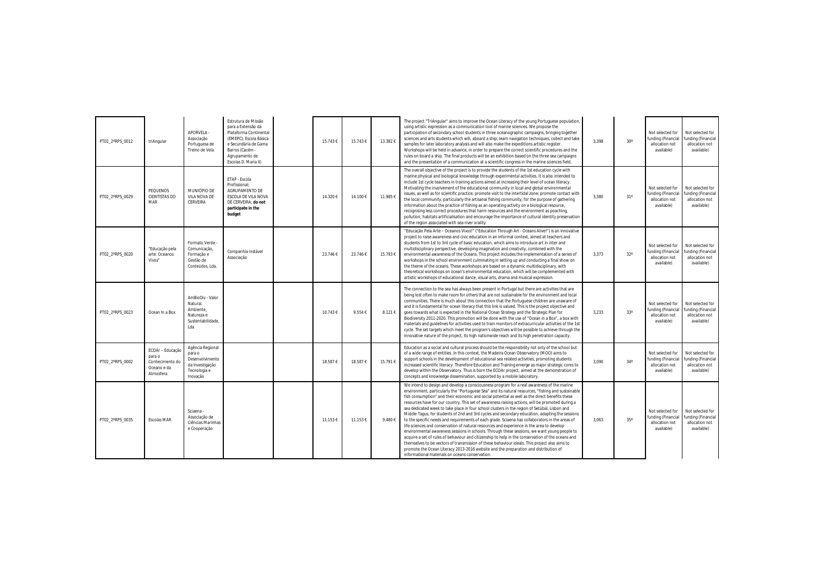| PT02 2°RPS 0012 | triAngular                                                                | <b>APORVELA -</b><br>Associação<br>Portuguesa de<br>Treino de Vela                           | Estrutura de Missão<br>para a Extensão da<br>Plataforma Continental<br>(EMEPC); Escola Básica<br>e Secundária de Gama<br>Barros (Cacém -<br>Agrupamento de<br>Escolas D. Maria II) | 15.743€  | 15.743€ | 13.382€ | The project "TriAngular" aims to improve the Ocean Literacy of the young Portuguese population,<br>using artistic expression as a communication tool of marine sciences. We propose the<br>participation of secondary school students in three oceanographic campaigns, bringing together<br>sciences and arts students which will, aboard a ship, learn navigation techniques, collect and take<br>samples for later laboratory analysis and will also make the expeditions artistic register.<br>Workshops will be held in advance, in order to prepare the correct scientific procedures and the<br>rules on board a ship. The final products will be an exhibition based on the three sea campaigns<br>and the presentation of a communication at a scientific congress in the marine sciences field.                                                                                                                                                                                                                                                                                                                                                                                                                                                   | 3,398 | $30^\circ$      |
|-----------------|---------------------------------------------------------------------------|----------------------------------------------------------------------------------------------|------------------------------------------------------------------------------------------------------------------------------------------------------------------------------------|----------|---------|---------|-------------------------------------------------------------------------------------------------------------------------------------------------------------------------------------------------------------------------------------------------------------------------------------------------------------------------------------------------------------------------------------------------------------------------------------------------------------------------------------------------------------------------------------------------------------------------------------------------------------------------------------------------------------------------------------------------------------------------------------------------------------------------------------------------------------------------------------------------------------------------------------------------------------------------------------------------------------------------------------------------------------------------------------------------------------------------------------------------------------------------------------------------------------------------------------------------------------------------------------------------------------|-------|-----------------|
| PT02 2°RPS 0029 | PEQUENOS<br><b>CIENTISTAS DO</b><br><b>MAR</b>                            | MUNICÍPIO DE<br>VILA NOVA DE<br>CERVEIRA                                                     | ETAP - Escola<br>Profissional:<br>AGRUPAMENTO DE<br>ESCOLA DE VILA NOVA<br>DE CERVEIRA: do not<br>participate in the<br>budget                                                     | 14.320 € | 14.100€ | 11.985€ | The overall objective of the project is to provide the students of the 1st education cycle with<br>marine physical and biological knowledge through experimental activities. It is also intended to<br>include 1st cycle teachers in training actions aimed at increasing their level of ocean literacy.<br>Motivating the involvement of the educational community in local and global environmental<br>issues, as well as for scientific practice; promote visit to the intertidal zone; promote contact with<br>the local community, particularly the artisanal fishing community, for the purpose of gathering<br>information about the practice of fishing as an operating activity on a biological resource,<br>recognising less correct procedures that harm resources and the environment as poaching,<br>pollution, habitats artificialisation and encourage the importance of cultural identity preservation<br>of the region associated with sea-river orality.                                                                                                                                                                                                                                                                                  | 3.380 | 31 <sup>°</sup> |
| PT02 2°RPS 0020 | "Educação pela<br>arte: Oceanos<br>Vivos"                                 | Formato Verde -<br>Comunicação,<br>Formação e<br>Gestão de<br>Conteúdos, Lda.                | Companhia Instável<br>Associação                                                                                                                                                   | 23.746 € | 23.746€ | 15.793€ | "Educação Pela Arte - Oceanos Vivos!" ("Education Through Art - Oceans Alive!") is an innovative<br>project to raise awareness and civic education in an informal context, aimed at teachers and<br>students from 1st to 3rd cycle of basic education, which aims to introduce art in inter and<br>multidisciplinary perspective, developing imagination and creativity, combined with the<br>environmental awareness of the Oceans. This project includes the implementation of a series of<br>workshops in the school environment culminating in setting up and conducting a final show on<br>the theme of the oceans. These workshops are based on a dynamic multidisciplinary, with<br>theoretical workshops on ocean's environmental education, which will be complemented with<br>artistic workshops of educational dance, visual arts, drama and musical expression.                                                                                                                                                                                                                                                                                                                                                                                 | 3,373 | $32^\circ$      |
| PT02_2°RPS_0023 | Ocean In a Box                                                            | AmBioDiv - Valor<br>Natural.<br>Ambiente.<br>Natureza e<br>Sustentabilidade,<br>Lda          |                                                                                                                                                                                    | 10.743€  | 9.554€  | 8.121€  | The connection to the sea has always been present in Portugal but there are activities that are<br>being lost often to make room for others that are not sustainable for the environment and local<br>communities. There is much about this connection that the Portuguese children are unaware of<br>and it is fundamental for ocean literacy that this link is valued. This is the project objective and<br>goes towards what is expected in the National Ocean Strategy and the Strategic Plan for<br>Biodiversity 2011-2020. This promotion will be done with the use of "Ocean in a Box", a box with<br>materials and guidelines for activities used to train monitors of extracurricular activities of the 1st<br>cycle. The set targets which meet the program's objectives will be possible to achieve through the<br>innovative nature of the project, its high nationwide reach and its high penetration capacity.                                                                                                                                                                                                                                                                                                                                | 3,233 | $33^\circ$      |
| PT02_2°RPS_0002 | ECOAr - Educação<br>para o<br>Conhecimento do<br>Oceano e da<br>Atmosfera | Agência Regional<br>para o<br>Desenvolvimento<br>da Investigação<br>Tecnologia e<br>Inovação |                                                                                                                                                                                    | 18.587€  | 18.587€ | 15.791€ | Education as a social and cultural process should be the responsibility not only of the school but<br>of a wide range of entities. In this context, the Madeira Ocean Observatory (MOO) aims to<br>support schools in the development of educational sea related activities, promoting students<br>increased scientific literacy. Therefore Education and Training emerge as major strategic cores to<br>develop within the Observatory. Thus is born the ECOAr project, aimed at the demonstration of<br>concepts and knowledge dissemination, supported by a mobile laboratory.                                                                                                                                                                                                                                                                                                                                                                                                                                                                                                                                                                                                                                                                           | 3,090 | $34^\circ$      |
| PT02 2°RPS 0035 | Escolas MAR                                                               | Sciaena -<br>Associação de<br>Ciências Marinhas<br>e Cooperação                              |                                                                                                                                                                                    | 11.153€  | 11.153€ | 9.480€  | We intend to design and develop a consciousness program for a real awareness of the marine<br>environment, particularly the "Portuguese Sea" and its natural resources, "fishing and sustainable<br>fish consumption" and their economic and social potential as well as the direct benefits these<br>resources have for our country. This set of awareness raising actions, will be promoted during a<br>sea dedicated week to take place in four school clusters in the region of Setúbal, Lisbon and<br>Middle Tagus, for students of 2nd and 3rd cycles and secondary education, adapting the sessions<br>to the specific needs and requirements of each grade. Sciaena has collaborators in the areas of<br>life sciences and conservation of natural resources and experience in the area to develop<br>environmental awareness sessions in schools. Through these sessions, we want young people to<br>acquire a set of rules of behaviour and citizenship to help in the conservation of the oceans and<br>themselves to be vectors of transmission of these behaviour ideals. This project also aims to<br>promote the Ocean Literacy 2013-2016 website and the preparation and distribution of<br>informational materials on oceans conservation. | 3,063 | $35^\circ$      |

| $30^{\circ}$ | Not selected for<br>funding (Financial<br>allocation not<br>available) | Not selected for<br>funding (Financial<br>allocation not<br>available) |
|--------------|------------------------------------------------------------------------|------------------------------------------------------------------------|
| $31^\circ$   | Not selected for<br>funding (Financial<br>allocation not<br>available) | Not selected for<br>funding (Financial<br>allocation not<br>available) |
| $32^{\circ}$ | Not selected for<br>funding (Financial<br>allocation not<br>available) | Not selected for<br>funding (Financial<br>allocation not<br>available) |
| 33°          | Not selected for<br>funding (Financial<br>allocation not<br>available) | Not selected for<br>funding (Financial<br>allocation not<br>available) |
| $34^\circ$   | Not selected for<br>funding (Financial<br>allocation not<br>available) | Not selected for<br>funding (Financial<br>allocation not<br>available) |
| $35^\circ$   | Not selected for<br>funding (Financial<br>allocation not<br>available) | Not selected for<br>funding (Financial<br>allocation not<br>available) |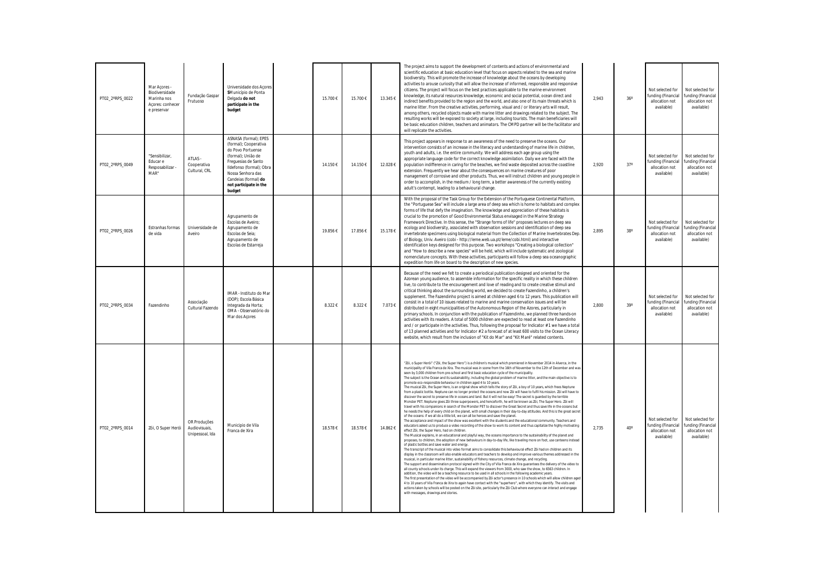| PT02_2°RPS_0022 | Mar Acores -<br>Biodiversidade<br>Marinha nos<br>Acores: conhecer<br>e preservar | Fundação Gaspar<br>Frutuoso                      | Universidade dos Acores<br>SMunicípio de Ponta<br>Delgada do not<br>participate in the<br>budget                                                                                                                              | 15.700€ | 15.700€ | 13.345 € | The project aims to support the development of contents and actions of environmental and<br>scientific education at basic education level that focus on aspects related to the sea and marine<br>biodiversity. This will promote the increase of knowledge about the oceans by developing<br>activities to arouse curiosity that will allow the increase of informed, responsible and responsive<br>citizens. The project will focus on the best practices applicable to the marine environment<br>knowledge, its natural resources knowledge, economic and social potential, ocean direct and<br>indirect benefits provided to the region and the world, and also one of its main threats which is<br>marine litter. From the creative activities, performing, visual and / or literary arts will result,<br>among others, recycled objects made with marine litter and drawings related to the subject. The<br>resulting works will be exposed to society at large, including tourists. The main beneficiaries will<br>be basic education children, teachers and animators. The CMPD partner will be the facilitator and<br>will replicate the activities.                                                                                                                                                                                                                                                                                                                                                                                                                                                                                                                                                                                                                                                                                                                                                                                                                                                                                                                                                                                                                                                                                                                                                                                                                                                                                                                                                                                                                                                                                                                                                                                                                                                                                                                                                                                                                                                                                                                                                                                                                                                     | 2,943 | 36 <sup>°</sup> |
|-----------------|----------------------------------------------------------------------------------|--------------------------------------------------|-------------------------------------------------------------------------------------------------------------------------------------------------------------------------------------------------------------------------------|---------|---------|----------|------------------------------------------------------------------------------------------------------------------------------------------------------------------------------------------------------------------------------------------------------------------------------------------------------------------------------------------------------------------------------------------------------------------------------------------------------------------------------------------------------------------------------------------------------------------------------------------------------------------------------------------------------------------------------------------------------------------------------------------------------------------------------------------------------------------------------------------------------------------------------------------------------------------------------------------------------------------------------------------------------------------------------------------------------------------------------------------------------------------------------------------------------------------------------------------------------------------------------------------------------------------------------------------------------------------------------------------------------------------------------------------------------------------------------------------------------------------------------------------------------------------------------------------------------------------------------------------------------------------------------------------------------------------------------------------------------------------------------------------------------------------------------------------------------------------------------------------------------------------------------------------------------------------------------------------------------------------------------------------------------------------------------------------------------------------------------------------------------------------------------------------------------------------------------------------------------------------------------------------------------------------------------------------------------------------------------------------------------------------------------------------------------------------------------------------------------------------------------------------------------------------------------------------------------------------------------------------------------------------------------------------------------------------------------------------------------------------------------------------------------------------------------------------------------------------------------------------------------------------------------------------------------------------------------------------------------------------------------------------------------------------------------------------------------------------------------------------------------------------------------------------------------------------------------------------------------------------|-------|-----------------|
| PT02_2°RPS_0049 | "Sensibilizar,<br>Educar e<br>Resposabilizar -<br>MAR"                           | ATLAS -<br>Cooperativa<br>Cultural, CRL          | ASNASA (formal); EPES<br>(formal); Cooperativa<br>do Povo Portuense<br>(formal); União de<br>Freguesias de Santo<br>Ildefonso (formal); Obra<br>Nossa Senhora das<br>Candeias (formal) do<br>not participate in the<br>budget | 14.150€ | 14.150€ | 12.028€  | This project appears in response to an awareness of the need to preserve the oceans. Our<br>intervention consists of an increase in the literacy and understanding of marine life in children,<br>youth and adults, i.e. the entire community. We will address each age group using the<br>appropriate language code for the correct knowledge assimilation. Daily we are faced with the<br>population indifference in caring for the beaches, we find waste deposited across the coastline<br>extension. Frequently we hear about the consequences on marine creatures of poor<br>management of corrosive and other products. Thus, we will instruct children and young people in<br>order to accomplish, in the medium / long term, a better awareness of the currently existing<br>adult's contempt, leading to a behavioural change.                                                                                                                                                                                                                                                                                                                                                                                                                                                                                                                                                                                                                                                                                                                                                                                                                                                                                                                                                                                                                                                                                                                                                                                                                                                                                                                                                                                                                                                                                                                                                                                                                                                                                                                                                                                                                                                                                                                                                                                                                                                                                                                                                                                                                                                                                                                                                                         | 2,920 | $37^\circ$      |
| PT02 2°RPS 0026 | Estranhas formas<br>de vida                                                      | Universidade de<br>Aveiro                        | Agrupamento de<br>Escolas de Aveiro;<br>Agrupamento de<br>Escolas de Seia:<br>Agrupamento de<br>Escolas de Estarreja                                                                                                          | 19.856€ | 17.856€ | 15.178€  | With the proposal of the Task Group for the Extension of the Portuguese Continental Platform,<br>the "Portuguese Sea" will include a large area of deep sea which is home to habitats and complex<br>forms of life that defy the imagination. The knowledge and appreciation of these habitats is<br>crucial to the promotion of Good Environmental Status envisaged in the Marine Strategy<br>Framework Directive. In this sense, the "Strange forms of life" proposes lectures on deep sea<br>ecology and biodiversity, associated with observation sessions and identification of deep sea<br>invertebrate specimens using biological material from the Collection of Marine Invertebrates Dep.<br>of Biology, Univ. Aveiro (cobi - http://leme.web.ua.pt/leme/cobi.html) and interactive<br>identification keys designed for this purpose. Two workshops "Creating a biological collection"<br>and "How to describe a new species" will be held, which will include systematic and zoological<br>nomenclature concepts. With these activities, participants will follow a deep sea oceanographic<br>expedition from life on board to the description of new species.                                                                                                                                                                                                                                                                                                                                                                                                                                                                                                                                                                                                                                                                                                                                                                                                                                                                                                                                                                                                                                                                                                                                                                                                                                                                                                                                                                                                                                                                                                                                                                                                                                                                                                                                                                                                                                                                                                                                                                                                                                         | 2,895 | $38^\circ$      |
| PT02 2°RPS 0034 | Fazendinho                                                                       | Associação<br>Cultural Fazendo                   | IMAR - Instituto do Mar<br>(DOP); Escola Básica<br>Integrada da Horta;<br>OMA - Observatório do<br>Mar dos Açores                                                                                                             | 8.322€  | 8.322€  | 7.073€   | Because of the need we felt to create a periodical publication designed and oriented for the<br>Azorean young audience, to assemble information for the specific reality in which these children<br>live, to contribute to the encouragement and love of reading and to create creative stimuli and<br>critical thinking about the surrounding world, we decided to create Fazendinho, a children's<br>supplement. The Fazendinho project is aimed at children aged 6 to 12 years. This publication will<br>consist in a total of 10 issues related to marine and marine conservation issues and will be<br>distributed in eight municipalities of the Autonomous Region of the Azores, particularly in<br>primary schools. In conjunction with the publication of Fazendinho, we planned three hands-on<br>activities with its readers. A total of 5000 children are expected to read at least one Fazendinho<br>and / or participate in the activities. Thus, following the proposal for Indicator #1 we have a total<br>of 13 planned activities and for Indicator # 2 a forecast of at least 600 visits to the Ocean Literacy<br>website, which result from the inclusion of "Kit do Mar" and "Kit Maré" related contents.                                                                                                                                                                                                                                                                                                                                                                                                                                                                                                                                                                                                                                                                                                                                                                                                                                                                                                                                                                                                                                                                                                                                                                                                                                                                                                                                                                                                                                                                                                                                                                                                                                                                                                                                                                                                                                                                                                                                                                                   | 2,800 | $39^\circ$      |
| PT02 2°RPS 0014 | Zói, O Super Herói                                                               | OR Produções<br>Audiovisuais,<br>Unipessoal, Ida | Municipio de Vila<br>Franca de Xira                                                                                                                                                                                           | 18.578€ | 18.578€ | 14.862€  | "Zói, o Super Herói" ("Zói, the Super Hero") is a children's musical which premiered in November 2014 in Alverca, in the<br>municipality of Vila Franca de Xira. The musical was in scene from the 16th of November to the 12th of December and wa<br>seen by 3,000 children from pre-school and first basic education cycle of the municipality.<br>The subject is the Ocean and its sustainability, including the global problem of marine litter, and the main objective is to<br>promote eco-responsible behaviour in children aged 4 to 10 years.<br>The musical Zói, the Super Hero, is an original show which tells the story of Zói, a boy of 10 years, which frees Neptune<br>from a plastic bottle. Neptune can no longer protect the oceans and now Zói will have to fulfil his mission. Zói will have to<br>discover the secret to preserve life in oceans and land. But it will not be easy! The secret is guarded by the terrible<br>Monster PET. Neptune gives Zói three superpowers, and henceforth, he will be known as Zói, The Super Hero. Zói will<br>travel with his companions in search of the Monster PET to discover the Great Secret and thus save life in the oceans but<br>he needs the help of every child on the planet, with small changes in their day-to-day attitudes. And this is the great secret<br>of the oceans: if we all do a little bit, we can all be heroes and save the planet.<br>The acceptance and impact of the show was excellent with the students and the educational community. Teachers and<br>educators asked us to produce a video recording of the show to work its content and thus capitalize the highly motivating<br>effect Zói, the Super Hero, had on children.<br>The Musical explains, in an educational and playful way, the oceans importance to the sustainability of the planet and<br>proposes, to children, the adoption of new behaviours in day-to-day life, like traveling more on foot, use canteens instead<br>of plastic bottles and save water and energy.<br>The transcript of the musical into video format aims to consolidate this behavioural effect Zói had on children and its<br>display in the classroom will also enable educators and teachers to develop and improve various themes addressed in the<br>musical, in particular marine litter, sustainability of fishery resources, climate change, and recycling.<br>The support and dissemination protocol signed with the City of Vila Franca de Xira guarantees the delivery of the video to<br>all county schools under its charge. This will expand the viewers from 3000, who saw the show, to 6563 children. In<br>addition, the video will be a teaching resource to be used in all schools in the following academic years.<br>The first presentation of the video will be accompanied by Zói actor's presence in 10 schools which will allow children aged<br>4 to 10 years of Vila Franca de Xira to again have contact with the "superhero", with which they identify. The visits and<br>actions taken by schools will be posted on the Zói site, particularly the Zói Club where everyone can interact and engage<br>with messages, drawings and stories. | 2,735 | $40^\circ$      |

| $36^\circ$ | Not selected for<br>funding (Financial<br>allocation not<br>available) | Not selected for<br>funding (Financial<br>allocation not<br>available) |
|------------|------------------------------------------------------------------------|------------------------------------------------------------------------|
| $37^\circ$ | Not selected for<br>funding (Financial<br>allocation not<br>available) | Not selected for<br>funding (Financial<br>allocation not<br>available) |
| $38^\circ$ | Not selected for<br>funding (Financial<br>allocation not<br>available) | Not selected for<br>funding (Financial<br>allocation not<br>available) |
| $39^\circ$ | Not selected for<br>funding (Financial<br>allocation not<br>available) | Not selected for<br>funding (Financial<br>allocation not<br>available) |
| $40^\circ$ | Not selected for<br>funding (Financial<br>allocation not<br>available) | Not selected for<br>funding (Financial<br>allocation not<br>available) |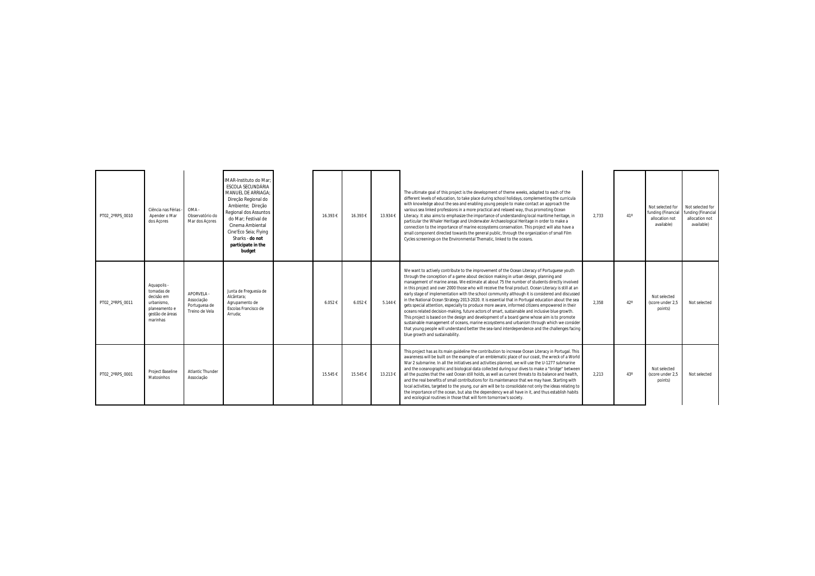| PT02 2°RPS 0010 | Ciência nas Férias<br>Apender o Mar<br>dos Acores                                                     | OMA -<br>Observatório do<br>Mar dos Acores                  | IMAR-Instituto do Mar;<br>ESCOLA SECUNDÁRIA<br>MANUEL DE ARRIAGA:<br>Direção Regional do<br>Ambiente; Direção<br>Regional dos Assuntos<br>do Mar: Festival de<br>Cinema Ambiental<br>Cine'Eco Seia; Flying<br>Sharks - do not<br>participate in the<br>budget | 16.393€ | 16.393€ | 13.934 € | The ultimate goal of this project is the development of theme weeks, adapted to each of the<br>different levels of education, to take place during school holidays, complementing the curricula<br>with knowledge about the sea and enabling young people to make contact an approach the<br>various sea linked professions in a more practical and relaxed way, thus promoting Ocean<br>Literacy. It also aims to emphasize the importance of understanding local maritime heritage, in<br>particular the Whaler Heritage and Underwater Archaeological Heritage in order to make a<br>connection to the importance of marine ecosystems conservation. This project will also have a<br>small component directed towards the general public, through the organization of small Film<br>Cycles screenings on the Environmental Thematic, linked to the oceans.                                                                                                                                                                                                                                                                               | 2,733 | 41 <sup>c</sup> |
|-----------------|-------------------------------------------------------------------------------------------------------|-------------------------------------------------------------|---------------------------------------------------------------------------------------------------------------------------------------------------------------------------------------------------------------------------------------------------------------|---------|---------|----------|----------------------------------------------------------------------------------------------------------------------------------------------------------------------------------------------------------------------------------------------------------------------------------------------------------------------------------------------------------------------------------------------------------------------------------------------------------------------------------------------------------------------------------------------------------------------------------------------------------------------------------------------------------------------------------------------------------------------------------------------------------------------------------------------------------------------------------------------------------------------------------------------------------------------------------------------------------------------------------------------------------------------------------------------------------------------------------------------------------------------------------------------|-------|-----------------|
| PT02 2°RPS 0011 | Aquapolis -<br>tomadas de<br>decisão em<br>urbanismo.<br>planeamento e<br>gestão de áreas<br>marinhas | APORVELA -<br>Associação<br>Portuguesa de<br>Treino de Vela | Junta de Frequesia de<br>Alcântara:<br>Agrupamento de<br>Escolas Francisco de<br>Arruda:                                                                                                                                                                      | 6.052€  | 6.052€  | 5.144€   | We want to actively contribute to the improvement of the Ocean Literacy of Portuguese youth<br>through the conception of a game about decision making in urban design, planning and<br>management of marine areas. We estimate at about 75 the number of students directly involved<br>in this project and over 2000 those who will receive the final product. Ocean Literacy is still at an<br>early stage of implementation with the school community although it is considered and discussed<br>in the National Ocean Strategy 2013-2020. It is essential that in Portugal education about the sea<br>gets special attention, especially to produce more aware, informed citizens empowered in their<br>oceans related decision-making, future actors of smart, sustainable and inclusive blue growth.<br>This project is based on the design and development of a board game whose aim is to promote<br>sustainable management of oceans, marine ecosystems and urbanism through which we consider<br>that young people will understand better the sea-land interdependence and the challenges facing<br>blue growth and sustainability. | 2.358 |                 |
| PT02 2°RPS 0001 | Project Baseline<br>Matosinhos                                                                        | <b>Atlantic Thunder</b><br>Associação                       |                                                                                                                                                                                                                                                               | 15.545€ | 15.545€ | 13.213€  | This project has as its main quideline the contribution to increase Ocean Literacy in Portugal. This<br>awareness will be built on the example of an emblematic place of our coast, the wreck of a World<br>War 2 submarine. In all the initiatives and activities planned, we will use the U-1277 submarine<br>and the oceanographic and biological data collected during our dives to make a "bridge" between<br>all the puzzles that the vast Ocean still holds, as well as current threats to its balance and health,<br>and the real benefits of small contributions for its maintenance that we may have. Starting with<br>local activities, targeted to the young, our aim will be to consolidate not only the ideas relating to<br>the importance of the ocean, but also the dependency we all have in it, and thus establish habits<br>and ecological routines in those that will form tomorrow's society.                                                                                                                                                                                                                          | 2.213 |                 |

| $41^{\circ}$ | Not selected for<br>funding (Financial<br>allocation not<br>available) | Not selected for<br>funding (Financial<br>allocation not<br>available) |
|--------------|------------------------------------------------------------------------|------------------------------------------------------------------------|
| $42^{\circ}$ | Not selected<br>(score under 2,5<br>points)                            | Not selected                                                           |
| $43^\circ$   | Not selected<br>(score under 2,5<br>points)                            | Not selected                                                           |